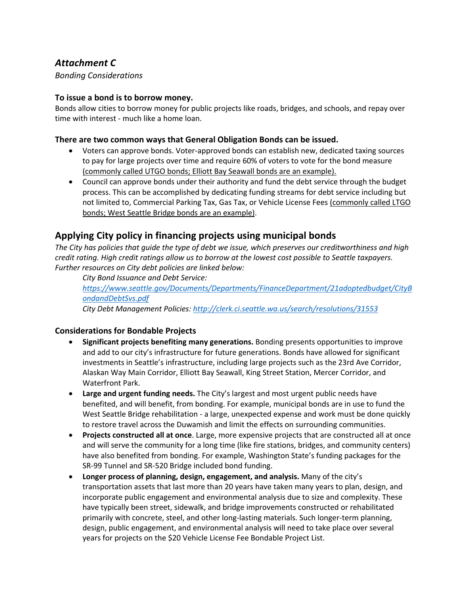# *Attachment C*

*Bonding Considerations*

#### **To issue a bond is to borrow money.**

Bonds allow cities to borrow money for public projects like roads, bridges, and schools, and repay over time with interest - much like a home loan.

#### **There are two common ways that General Obligation Bonds can be issued.**

- Voters can approve bonds. Voter-approved bonds can establish new, dedicated taxing sources to pay for large projects over time and require 60% of voters to vote for the bond measure (commonly called UTGO bonds; Elliott Bay Seawall bonds are an example).
- Council can approve bonds under their authority and fund the debt service through the budget process. This can be accomplished by dedicating funding streams for debt service including but not limited to, Commercial Parking Tax, Gas Tax, or Vehicle License Fees (commonly called LTGO bonds; West Seattle Bridge bonds are an example).

## **Applying City policy in financing projects using municipal bonds**

*The City has policies that guide the type of debt we issue, which preserves our creditworthiness and high credit rating. High credit ratings allow us to borrow at the lowest cost possible to Seattle taxpayers. Further resources on City debt policies are linked below:*

*City Bond Issuance and Debt Service:* 

*https://www.seattle.gov/Documents/Departments/FinanceDepartment/21adoptedbudget/CityB ondandDebtSvs.pdf*

*City Debt Management Policies: http://clerk.ci.seattle.wa.us/search/resolutions/31553*

### **Considerations for Bondable Projects**

- **Significant projects benefiting many generations.** Bonding presents opportunities to improve and add to our city's infrastructure for future generations. Bonds have allowed for significant investments in Seattle's infrastructure, including large projects such as the 23rd Ave Corridor, Alaskan Way Main Corridor, Elliott Bay Seawall, King Street Station, Mercer Corridor, and Waterfront Park.
- **Large and urgent funding needs.** The City's largest and most urgent public needs have benefited, and will benefit, from bonding. For example, municipal bonds are in use to fund the West Seattle Bridge rehabilitation - a large, unexpected expense and work must be done quickly to restore travel across the Duwamish and limit the effects on surrounding communities.
- **Projects constructed all at once**. Large, more expensive projects that are constructed all at once and will serve the community for a long time (like fire stations, bridges, and community centers) have also benefited from bonding. For example, Washington State's funding packages for the SR-99 Tunnel and SR-520 Bridge included bond funding.
- **Longer process of planning, design, engagement, and analysis.** Many of the city's transportation assets that last more than 20 years have taken many years to plan, design, and incorporate public engagement and environmental analysis due to size and complexity. These have typically been street, sidewalk, and bridge improvements constructed or rehabilitated primarily with concrete, steel, and other long-lasting materials. Such longer-term planning, design, public engagement, and environmental analysis will need to take place over several years for projects on the \$20 Vehicle License Fee Bondable Project List.